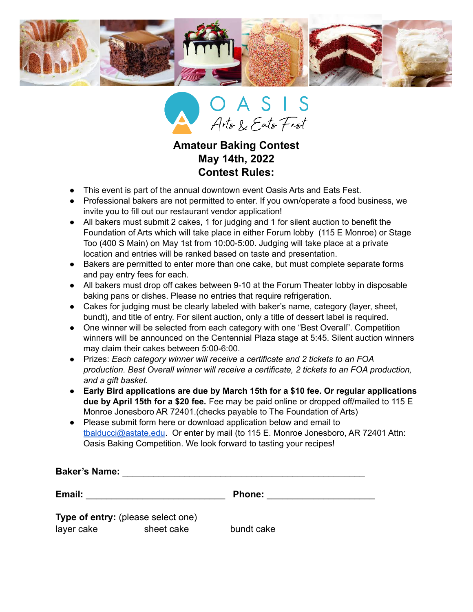



## **Amateur Baking Contest May 14th, 2022 Contest Rules:**

- This event is part of the annual downtown event Oasis Arts and Eats Fest.
- Professional bakers are not permitted to enter. If you own/operate a food business, we invite you to fill out our restaurant vendor application!
- All bakers must submit 2 cakes, 1 for judging and 1 for silent auction to benefit the Foundation of Arts which will take place in either Forum lobby (115 E Monroe) or Stage Too (400 S Main) on May 1st from 10:00-5:00. Judging will take place at a private location and entries will be ranked based on taste and presentation.
- Bakers are permitted to enter more than one cake, but must complete separate forms and pay entry fees for each.
- All bakers must drop off cakes between 9-10 at the Forum Theater lobby in disposable baking pans or dishes. Please no entries that require refrigeration.
- Cakes for judging must be clearly labeled with baker's name, category (layer, sheet, bundt), and title of entry. For silent auction, only a title of dessert label is required.
- One winner will be selected from each category with one "Best Overall". Competition winners will be announced on the Centennial Plaza stage at 5:45. Silent auction winners may claim their cakes between 5:00-6:00.
- Prizes: *Each category winner will receive a certificate and 2 tickets to an FOA production. Best Overall winner will receive a certificate, 2 tickets to an FOA production, and a gift basket.*
- **Early Bird applications are due by March 15th for a \$10 fee. Or regular applications due by April 15th for a \$20 fee.** Fee may be paid online or dropped off/mailed to 115 E Monroe Jonesboro AR 72401.(checks payable to The Foundation of Arts)
- Please submit form here or download application below and email to [tbalducci@astate.edu.](mailto:tbalducci@astate.edu) Or enter by mail (to 115 E. Monroe Jonesboro, AR 72401 Attn: Oasis Baking Competition. We look forward to tasting your recipes!

**Baker's Name:** \_\_\_\_\_\_\_\_\_\_\_\_\_\_\_\_\_\_\_\_\_\_\_\_\_\_\_\_\_\_\_\_\_\_\_\_\_\_\_\_\_\_\_\_\_\_\_

**Email:** \_\_\_\_\_\_\_\_\_\_\_\_\_\_\_\_\_\_\_\_\_\_\_\_\_\_\_ **Phone:** \_\_\_\_\_\_\_\_\_\_\_\_\_\_\_\_\_\_\_\_\_ **Type of entry:** (please select one) layer cake sheet cake bundt cake